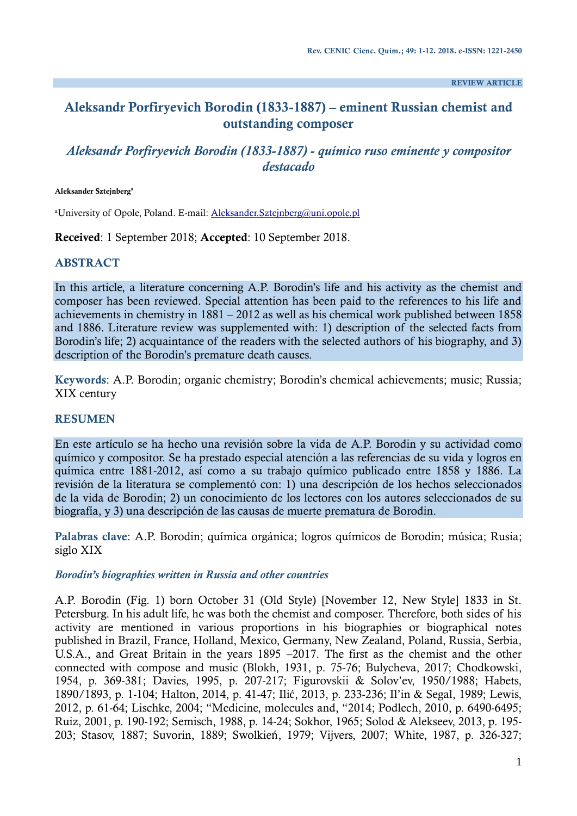**REVIEW ARTICLE**

# **Aleksandr Porfiryevich Borodin (1833-1887) ‒ eminent Russian chemist and outstanding composer**

# *Aleksandr Porfiryevich Borodin (1833-1887) - químico ruso eminente y compositor destacado*

#### **Aleksander Sztejnberg<sup>a</sup>**

<sup>a</sup>University of Opole, Poland. E-mail: [Aleksander.Sztejnberg@uni.opole.pl](mailto:Aleksander.Sztejnberg@uni.opole.pl)

**Received**: 1 September 2018; **Accepted**: 10 September 2018.

### **ABSTRACT**

In this article, a literature concerning A.P. Borodin's life and his activity as the chemist and composer has been reviewed. Special attention has been paid to the references to his life and achievements in chemistry in 1881 – 2012 as well as his chemical work published between 1858 and 1886. Literature review was supplemented with: 1) description of the selected facts from Borodin's life; 2) acquaintance of the readers with the selected authors of his biography, and 3) description of the Borodin's premature death causes.

**Keywords**: A.P. Borodin; organic chemistry; Borodin's chemical achievements; music; Russia; XIX century

### **RESUMEN**

En este artículo se ha hecho una revisión sobre la vida de A.P. Borodin y su actividad como químico y compositor. Se ha prestado especial atención a las referencias de su vida y logros en química entre 1881-2012, así como a su trabajo químico publicado entre 1858 y 1886. La revisión de la literatura se complementó con: 1) una descripción de los hechos seleccionados de la vida de Borodin; 2) un conocimiento de los lectores con los autores seleccionados de su biografía, y 3) una descripción de las causas de muerte prematura de Borodin.

**Palabras clave**: A.P. Borodin; química orgánica; logros químicos de Borodin; música; Rusia; siglo XIX

### *Borodin's biographies written in Russia and other countries*

A.P. Borodin (Fig. 1) born October 31 (Old Style) [November 12, New Style] 1833 in St. Petersburg. In his adult life, he was both the chemist and composer. Therefore, both sides of his activity are mentioned in various proportions in his biographies or biographical notes published in Brazil, France, Holland, Mexico, Germany, New Zealand, Poland, Russia, Serbia, U.S.A., and Great Britain in the years 1895 –2017. The first as the chemist and the other connected with compose and music (Blokh, 1931, p. 75-76; Bulycheva, 2017; Chodkowski, 1954, p. 369-381; Davies, 1995, p. 207-217; Figurovskii & Solov'ev, 1950/1988; Habets, 1890/1893, p. 1-104; Halton, 2014, p. 41-47; Ilić, 2013, p. 233-236; Il'in & Segal, 1989; Lewis, 2012, p. 61-64; Lischke, 2004; "Medicine, molecules and, "2014; Podlech, 2010, p. 6490-6495; Ruiz, 2001, p. 190-192; Semisch, 1988, p. 14-24; Sokhor, 1965; Solod & Alekseev, 2013, p. 195- 203; Stasov, 1887; Suvorin, 1889; Swolkień, 1979; Vijvers, 2007; White, 1987, p. 326-327;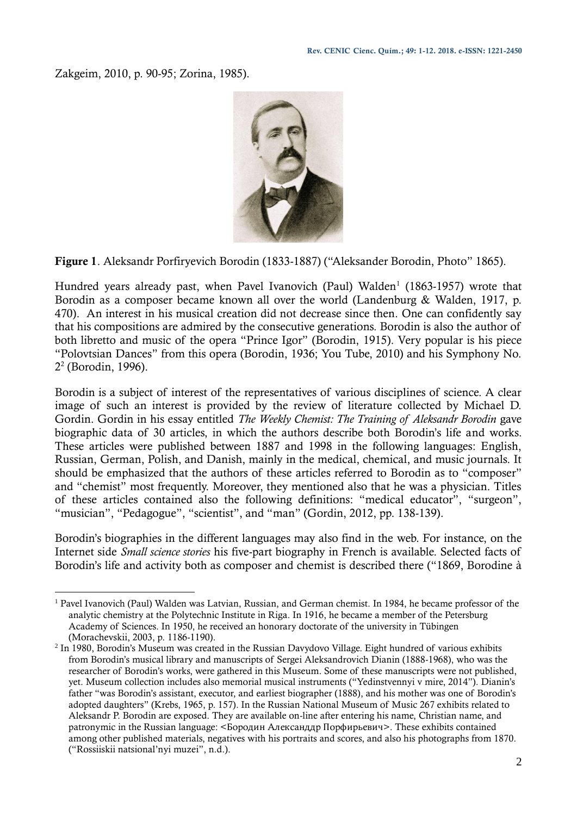Zakgeim, 2010, p. 90-95; Zorina, 1985).



**Figure 1**. Aleksandr Porfiryevich Borodin (1833-1887) ("Aleksander Borodin, Photo" 1865).

Hundred years already past, when Pavel Ivanovich (Paul) Walden<sup>1</sup> (1863-1957) wrote that Borodin as a composer became known all over the world (Landenburg & Walden, 1917, p. 470). An interest in his musical creation did not decrease since then. One can confidently say that his compositions are admired by the consecutive generations. Borodin is also the author of both libretto and music of the opera "Prince Igor" (Borodin, 1915). Very popular is his piece "Polovtsian Dances" from this opera (Borodin, 1936; You Tube, 2010) and his Symphony No. 2 2 (Borodin, 1996).

Borodin is a subject of interest of the representatives of various disciplines of science. A clear image of such an interest is provided by the review of literature collected by Michael D. Gordin. Gordin in his essay entitled *The Weekly Chemist: The Training of Aleksandr Borodin* gave biographic data of 30 articles, in which the authors describe both Borodin's life and works. These articles were published between 1887 and 1998 in the following languages: English, Russian, German, Polish, and Danish, mainly in the medical, chemical, and music journals. It should be emphasized that the authors of these articles referred to Borodin as to "composer" and "chemist" most frequently. Moreover, they mentioned also that he was a physician. Titles of these articles contained also the following definitions: "medical educator", "surgeon", "musician", "Pedagogue", "scientist", and "man" (Gordin, 2012, pp. 138-139).

Borodin's biographies in the different languages may also find in the web. For instance, on the Internet side *Small science stories* his five-part biography in French is available. Selected facts of Borodin's life and activity both as composer and chemist is described there ("1869, Borodine à

<sup>1</sup> <sup>1</sup> Pavel Ivanovich (Paul) Walden was Latvian, Russian, and German chemist. In 1984, he became professor of the analytic chemistry at the Polytechnic Institute in Riga. In 1916, he became a member of the Petersburg Academy of Sciences. In 1950, he received an honorary doctorate of the university in Tübingen (Morachevskii, 2003, p. 1186-1190).

 $<sup>2</sup>$  In 1980, Borodin's Museum was created in the Russian Davydovo Village. Eight hundred of various exhibits</sup> from Borodin's musical library and manuscripts of Sergei Aleksandrovich Dianin (1888-1968), who was the researcher of Borodin's works, were gathered in this Museum. Some of these manuscripts were not published, yet. Museum collection includes also memorial musical instruments ("Yedinstvennyi v mire, 2014"). Dianin's father "was Borodin's assistant, executor, and earliest biographer (1888), and his mother was one of Borodin's adopted daughters" (Krebs, 1965, p. 157). In the Russian National Museum of Music 267 exhibits related to Aleksandr P. Borodin are exposed. They are available on-line after entering his name, Christian name, and patronymic in the Russian language: <Бородин Александдр Порфирьевич>. These exhibits contained among other published materials, negatives with his portraits and scores, and also his photographs from 1870. ("Rossiiskii natsional'nyi muzei", n.d.).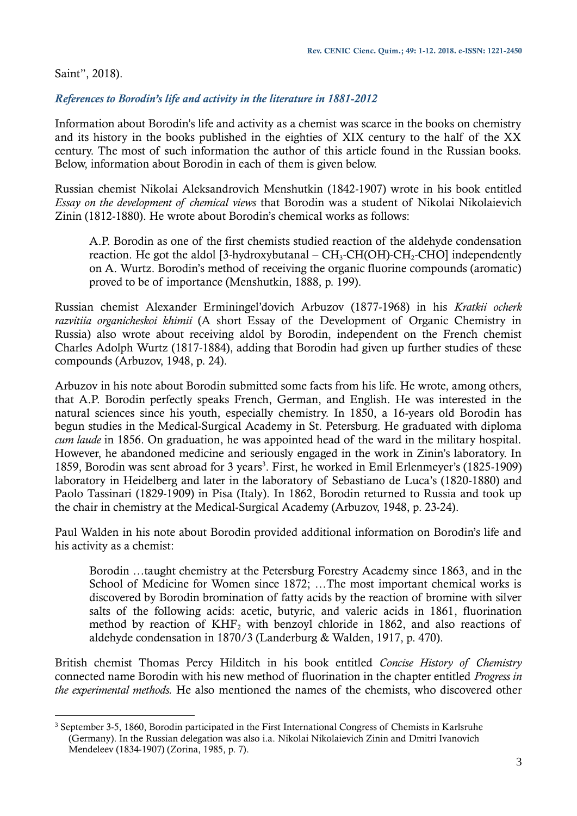Saint", 2018).

1

## *References to Borodin's life and activity in the literature in 1881-2012*

Information about Borodin's life and activity as a chemist was scarce in the books on chemistry and its history in the books published in the eighties of XIX century to the half of the XX century. The most of such information the author of this article found in the Russian books. Below, information about Borodin in each of them is given below.

Russian chemist Nikolai Aleksandrovich Menshutkin (1842-1907) wrote in his book entitled *Essay on the development of chemical views* that Borodin was a student of Nikolai Nikolaievich Zinin (1812-1880). He wrote about Borodin's chemical works as follows:

A.P. Borodin as one of the first chemists studied reaction of the aldehyde condensation reaction. He got the aldol [3-hydroxybutanal –  $CH_3$ -CH(OH)-CH<sub>2</sub>-CHO] independently on A. Wurtz. Borodin's method of receiving the organic fluorine compounds (aromatic) proved to be of importance (Menshutkin, 1888, p. 199).

Russian chemist Alexander Erminingel'dovich Arbuzov (1877-1968) in his *Kratkii ocherk razvitiia organicheskoi khimii* (A short Essay of the Development of Organic Chemistry in Russia) also wrote about receiving aldol by Borodin, independent on the French chemist Charles Adolph Wurtz (1817-1884), adding that Borodin had given up further studies of these compounds (Arbuzov, 1948, p. 24).

Arbuzov in his note about Borodin submitted some facts from his life. He wrote, among others, that A.P. Borodin perfectly speaks French, German, and English. He was interested in the natural sciences since his youth, especially chemistry. In 1850, a 16-years old Borodin has begun studies in the Medical-Surgical Academy in St. Petersburg. He graduated with diploma *cum laude* in 1856. On graduation, he was appointed head of the ward in the military hospital. However, he abandoned medicine and seriously engaged in the work in Zinin's laboratory. In 1859, Borodin was sent abroad for 3 years<sup>3</sup>. First, he worked in Emil Erlenmeyer's (1825-1909) laboratory in Heidelberg and later in the laboratory of Sebastiano de Luca's (1820-1880) and Paolo Tassinari (1829-1909) in Pisa (Italy). In 1862, Borodin returned to Russia and took up the chair in chemistry at the Medical-Surgical Academy (Arbuzov, 1948, p. 23-24).

Paul Walden in his note about Borodin provided additional information on Borodin's life and his activity as a chemist:

Borodin …taught chemistry at the Petersburg Forestry Academy since 1863, and in the School of Medicine for Women since 1872; …The most important chemical works is discovered by Borodin bromination of fatty acids by the reaction of bromine with silver salts of the following acids: acetic, butyric, and valeric acids in 1861, fluorination method by reaction of  $KHF_2$  with benzoyl chloride in 1862, and also reactions of aldehyde condensation in 1870/3 (Landerburg & Walden, 1917, p. 470).

British chemist Thomas Percy Hilditch in his book entitled *Concise History of Chemistry* connected name Borodin with his new method of fluorination in the chapter entitled *Progress in the experimental methods.* He also mentioned the names of the chemists, who discovered other

<sup>3</sup> September 3-5, 1860, Borodin participated in the First International Congress of Chemists in Karlsruhe (Germany). In the Russian delegation was also i.a. Nikolai Nikolaievich Zinin and Dmitri Ivanovich Mendeleev (1834-1907) (Zorina, 1985, p. 7).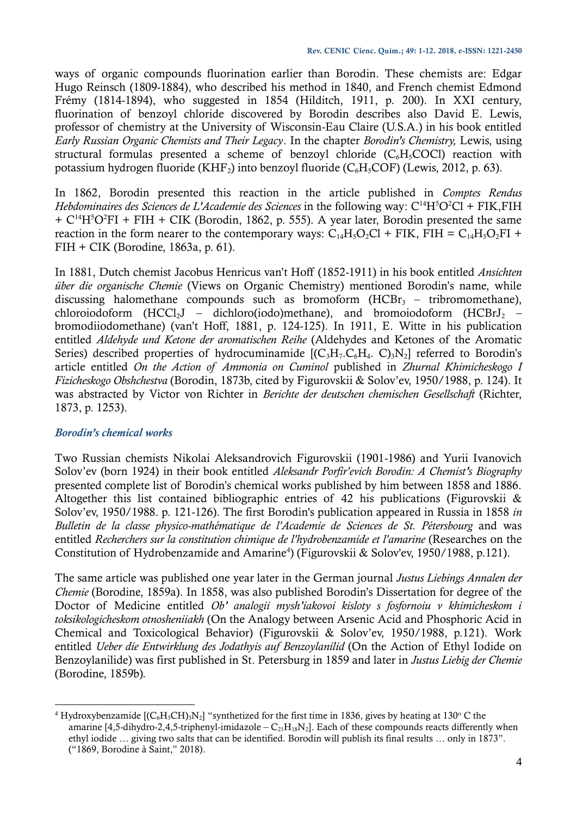ways of organic compounds fluorination earlier than Borodin. These chemists are: Edgar Hugo Reinsch (1809-1884), who described his method in 1840, and French chemist Edmond Frémy (1814-1894), who suggested in 1854 (Hilditch, 1911, p. 200). In XXI century, fluorination of benzoyl chloride discovered by Borodin describes also David E. Lewis, professor of chemistry at the University of Wisconsin-Eau Claire (U.S.A.) in his book entitled *Early Russian Organic Chemists and Their Legacy*. In the chapter *Borodin's Chemistry,* Lewis, using structural formulas presented a scheme of benzoyl chloride  $(C<sub>6</sub>H<sub>5</sub>COCl)$  reaction with potassium hydrogen fluoride (KHF<sub>2</sub>) into benzoyl fluoride (C<sub>6</sub>H<sub>5</sub>COF) (Lewis, 2012, p. 63).

In 1862, Borodin presented this reaction in the article published in *Comptes Rendus Hebdominaires des Sciences de L'Academie des Sciences* in the following way: C<sup>14</sup>H<sup>5</sup>O<sup>2</sup>Cl + FIK, FIH  $+ C^{14}H^5O^2FI + FIH + CIK$  (Borodin, 1862, p. 555). A year later, Borodin presented the same reaction in the form nearer to the contemporary ways:  $C_{14}H_5O_2Cl$  + FIK, FIH =  $C_{14}H_5O_2Fl$  + FIH + CIK (Borodine, 1863a, p. 61).

In 1881, Dutch chemist Jacobus Henricus van't Hoff (1852-1911) in his book entitled *Ansichten über die organische Chemie* (Views on Organic Chemistry) mentioned Borodin's name, while discussing halomethane compounds such as bromoform  $(HCBr<sub>3</sub> - tribromome thane)$ , chloroiodoform  $(HCCl<sub>2</sub>J - dichloro(iodo)$ methane), and bromoiodoform  $(HCBrJ<sub>2</sub>$ bromodiiodomethane) (van't Hoff, 1881, p. 124-125). In 1911, E. Witte in his publication entitled *Aldehyde und Ketone der aromatischen Reihe* (Aldehydes and Ketones of the Aromatic Series) described properties of hydrocuminamide  $[(C_3H_7,C_6H_4, C)_3N_2]$  referred to Borodin's article entitled *On the Action of Ammonia on Cuminol* published in *Zhurnal Khimicheskogo I Fizicheskogo Obshchestva* (Borodin, 1873b, cited by Figurovskii & Solov'ev, 1950/1988, p. 124). It was abstracted by Victor von Richter in *Berichte der deutschen chemischen Gesellschaft* (Richter, 1873, p. 1253).

## *Borodin's chemical works*

Two Russian chemists Nikolai Aleksandrovich Figurovskii (1901-1986) and Yurii Ivanovich Solov'ev (born 1924) in their book entitled *Aleksandr Porfir'evich Borodin: A Chemist's Biography* presented complete list of Borodin's chemical works published by him between 1858 and 1886. Altogether this list contained bibliographic entries of 42 his publications (Figurovskii & Solov'ev, 1950/1988. p. 121-126). The first Borodin's publication appeared in Russia in 1858 *in Bulletin de la classe physico-mathématique de l'Academie de Sciences de St. Pétersbourg* and was entitled *Recherchers sur la constitution chimique de l'hydrobenzamide et l'amarine* (Researches on the Constitution of Hydrobenzamide and Amarine<sup>4</sup>) (Figurovskii & Solov'ev, 1950/1988, p.121).

The same article was published one year later in the German journal *Justus Liebings Annalen der Chemie* (Borodine, 1859a). In 1858, was also published Borodin's Dissertation for degree of the Doctor of Medicine entitled *Ob' analogii mysh'iakovoi kisloty s fosfornoiu v khimicheskom i toksikologicheskom otnosheniiakh* (On the Analogy between Arsenic Acid and Phosphoric Acid in Chemical and Toxicological Behavior) (Figurovskii & Solov'ev, 1950/1988, p.121). Work entitled *Ueber die Entwirklung des Jodathyis auf Benzoylanilid* (On the Action of Ethyl Iodide on Benzoylanilide) was first published in St. Petersburg in 1859 and later in *Justus Liebig der Chemie*  (Borodine, 1859b)*.*

<sup>1</sup> <sup>4</sup> Hydroxybenzamide  $[(C_6H_3CH_3N_2]$  "synthetized for the first time in 1836, gives by heating at 130° C the amarine [4,5-dihydro-2,4,5-triphenyl-imidazole –  $C_{21}H_{18}N_2$ ]. Each of these compounds reacts differently when ethyl iodide … giving two salts that can be identified. Borodin will publish its final results … only in 1873". ("1869, Borodine à Saint," 2018).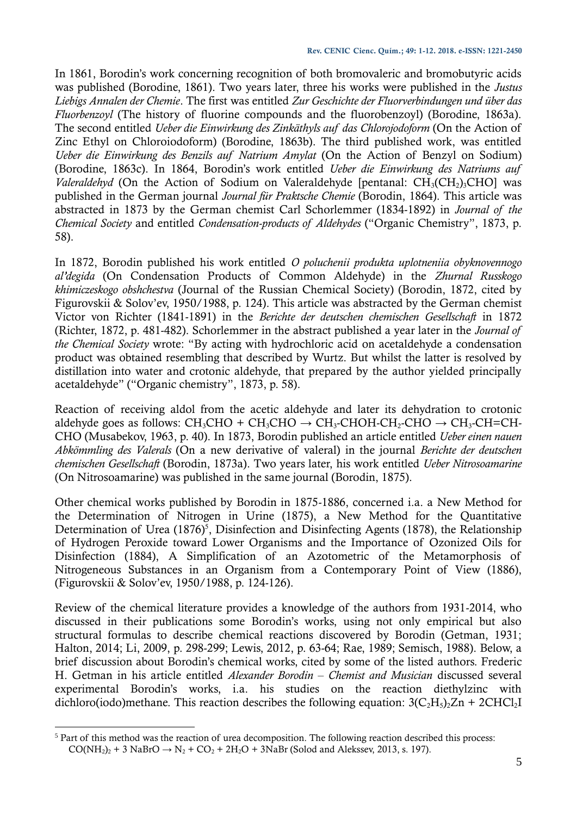In 1861, Borodin's work concerning recognition of both bromovaleric and bromobutyric acids was published (Borodine, 1861). Two years later, three his works were published in the *Justus Liebigs Annalen der Chemie*. The first was entitled *Zur Geschichte der Fluorverbindungen und über das Fluorbenzoyl* (The history of fluorine compounds and the fluorobenzoyl) (Borodine, 1863a). The second entitled *Ueber die Einwirkung des Zinkäthyls auf das Chlorojodoform* (On the Action of Zinc Ethyl on Chloroiodoform) (Borodine, 1863b). The third published work, was entitled *Ueber die Einwirkung des Benzils auf Natrium Amylat* (On the Action of Benzyl on Sodium) (Borodine, 1863c). In 1864, Borodin's work entitled *Ueber die Einwirkung des Natriums auf Valeraldehyd* (On the Action of Sodium on Valeraldehyde [pentanal: CH<sub>3</sub>(CH<sub>2</sub>)<sub>3</sub>CHO] was published in the German journal *Journal für Praktsche Chemie* (Borodin, 1864). This article was abstracted in 1873 by the German chemist Carl Schorlemmer (1834-1892) in *Journal of the Chemical Society* and entitled *Condensation-products of Aldehydes* ("Organic Chemistry", 1873, p. 58).

In 1872, Borodin published his work entitled *O poluchenii produkta uplotneniia obyknovennogo al'degida* (On Condensation Products of Common Aldehyde) in the *Zhurnal Russkogo khimiczeskogo obshchestva* (Journal of the Russian Chemical Society) (Borodin, 1872, cited by Figurovskii & Solov'ev, 1950/1988, p. 124). This article was abstracted by the German chemist Victor von Richter (1841-1891) in the *Berichte der deutschen chemischen Gesellschaft* in 1872 (Richter, 1872, p. 481-482). Schorlemmer in the abstract published a year later in the *Journal of the Chemical Society* wrote: "By acting with hydrochloric acid on acetaldehyde a condensation product was obtained resembling that described by Wurtz. But whilst the latter is resolved by distillation into water and crotonic aldehyde, that prepared by the author yielded principally acetaldehyde" ("Organic chemistry", 1873, p. 58).

Reaction of receiving aldol from the acetic aldehyde and later its dehydration to crotonic aldehyde goes as follows:  $CH_3CHO + CH_3CHO \rightarrow CH_3-CHO + CH_2-CHO \rightarrow CH_3-CHO \rightarrow CH_3-CH=CH$ CHO (Musabekov, 1963, p. 40). In 1873, Borodin published an article entitled *Ueber einen nauen Abkömmling des Valerals* (On a new derivative of valeral) in the journal *Berichte der deutschen chemischen Gesellschaft* (Borodin, 1873a). Two years later, his work entitled *Ueber Nitrosoamarine* (On Nitrosoamarine) was published in the same journal (Borodin, 1875).

Other chemical works published by Borodin in 1875-1886, concerned i.a. a New Method for the Determination of Nitrogen in Urine (1875), a New Method for the Quantitative Determination of Urea  $(1876)^5$ , Disinfection and Disinfecting Agents (1878), the Relationship of Hydrogen Peroxide toward Lower Organisms and the Importance of Ozonized Oils for Disinfection (1884), A Simplification of an Azotometric of the Metamorphosis of Nitrogeneous Substances in an Organism from a Contemporary Point of View (1886), (Figurovskii & Solov'ev, 1950/1988, p. 124-126).

Review of the chemical literature provides a knowledge of the authors from 1931-2014, who discussed in their publications some Borodin's works, using not only empirical but also structural formulas to describe chemical reactions discovered by Borodin (Getman, 1931; Halton, 2014; Li, 2009, p. 298-299; Lewis, 2012, p. 63-64; Rae, 1989; Semisch, 1988). Below, a brief discussion about Borodin's chemical works, cited by some of the listed authors. Frederic H. Getman in his article entitled *Alexander Borodin – Chemist and Musician* discussed several experimental Borodin's works, i.a. his studies on the reaction diethylzinc with dichloro(iodo)methane. This reaction describes the following equation:  $3(C_2H_5)_2Zn + 2CHCl_2I$ 

1

<sup>5</sup> Part of this method was the reaction of urea decomposition. The following reaction described this process:  $CO(NH_2)_2 + 3 NaBrO \rightarrow N_2 + CO_2 + 2H_2O + 3NaBr$  (Solod and Alekssev, 2013, s. 197).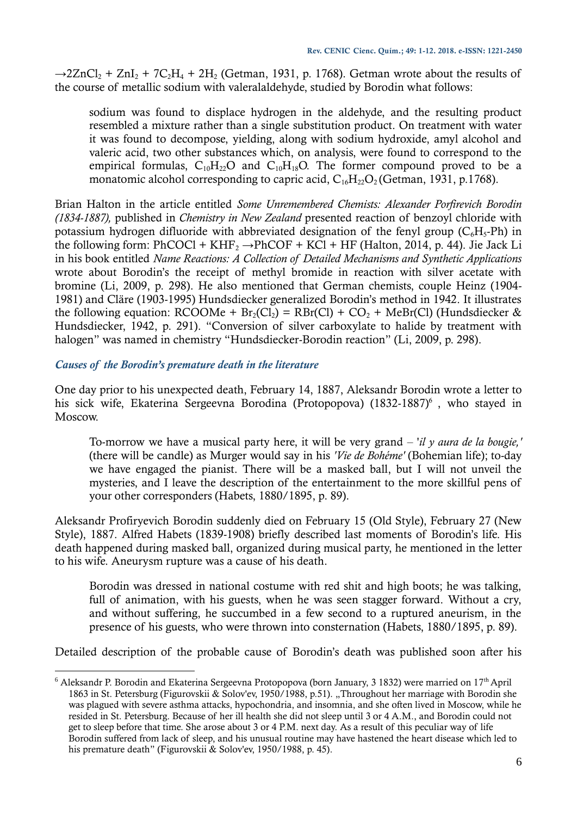$\rightarrow$ 2ZnCl<sub>2</sub> + ZnI<sub>2</sub> + 7C<sub>2</sub>H<sub>4</sub> + 2H<sub>2</sub> (Getman, 1931, p. 1768). Getman wrote about the results of the course of metallic sodium with valeralaldehyde, studied by Borodin what follows:

sodium was found to displace hydrogen in the aldehyde, and the resulting product resembled a mixture rather than a single substitution product. On treatment with water it was found to decompose, yielding, along with sodium hydroxide, amyl alcohol and valeric acid, two other substances which, on analysis, were found to correspond to the empirical formulas,  $C_{10}H_{22}O$  and  $C_{10}H_{18}O$ . The former compound proved to be a monatomic alcohol corresponding to capric acid,  $C_{16}H_{22}O_2$  (Getman, 1931, p.1768).

Brian Halton in the article entitled *Some Unremembered Chemists: Alexander Porfirevich Borodin (1834-1887),* published in *Chemistry in New Zealand* presented reaction of benzoyl chloride with potassium hydrogen difluoride with abbreviated designation of the fenyl group  $(C<sub>6</sub>H<sub>5</sub>-Ph)$  in the following form: PhCOCl + KHF<sub>2</sub>  $\rightarrow$  PhCOF + KCl + HF (Halton, 2014, p. 44). Jie Jack Li in his book entitled *Name Reactions: A Collection of Detailed Mechanisms and Synthetic Applications*  wrote about Borodin's the receipt of methyl bromide in reaction with silver acetate with bromine (Li, 2009, p. 298). He also mentioned that German chemists, couple Heinz (1904- 1981) and Cläre (1903-1995) Hundsdiecker generalized Borodin's method in 1942. It illustrates the following equation: RCOOMe +  $Br_2(Cl_2) = RBr(Cl) + CO_2 + MeBr(Cl)$  (Hundsdiecker & Hundsdiecker, 1942, p. 291). "Conversion of silver carboxylate to halide by treatment with halogen" was named in chemistry "Hundsdiecker-Borodin reaction" (Li, 2009, p. 298).

## *Causes of the Borodin's premature death in the literature*

One day prior to his unexpected death, February 14, 1887, Aleksandr Borodin wrote a letter to his sick wife, Ekaterina Sergeevna Borodina (Protopopova) (1832-1887)<sup>6</sup>, who stayed in Moscow.

To-morrow we have a musical party here, it will be very grand ‒ '*il y aura de la bougie,'*  (there will be candle) as Murger would say in his *'Vie de Bohéme'* (Bohemian life); to-day we have engaged the pianist. There will be a masked ball, but I will not unveil the mysteries, and I leave the description of the entertainment to the more skillful pens of your other corresponders (Habets, 1880/1895, p. 89).

Aleksandr Profiryevich Borodin suddenly died on February 15 (Old Style), February 27 (New Style), 1887. Alfred Habets (1839-1908) briefly described last moments of Borodin's life. His death happened during masked ball, organized during musical party, he mentioned in the letter to his wife. Aneurysm rupture was a cause of his death.

Borodin was dressed in national costume with red shit and high boots; he was talking, full of animation, with his guests, when he was seen stagger forward. Without a cry, and without suffering, he succumbed in a few second to a ruptured aneurism, in the presence of his guests, who were thrown into consternation (Habets, 1880/1895, p. 89).

Detailed description of the probable cause of Borodin's death was published soon after his

<sup>1</sup>  $6$  Aleksandr P. Borodin and Ekaterina Sergeevna Protopopova (born January, 3 1832) were married on 17<sup>th</sup> April 1863 in St. Petersburg (Figurovskii & Solov'ev, 1950/1988, p.51). "Throughout her marriage with Borodin she was plagued with severe asthma attacks, hypochondria, and insomnia, and she often lived in Moscow, while he resided in St. Petersburg. Because of her ill health she did not sleep until 3 or 4 A.M., and Borodin could not get to sleep before that time. She arose about 3 or 4 P.M. next day. As a result of this peculiar way of life Borodin suffered from lack of sleep, and his unusual routine may have hastened the heart disease which led to his premature death" (Figurovskii & Solov'ev, 1950/1988, p. 45).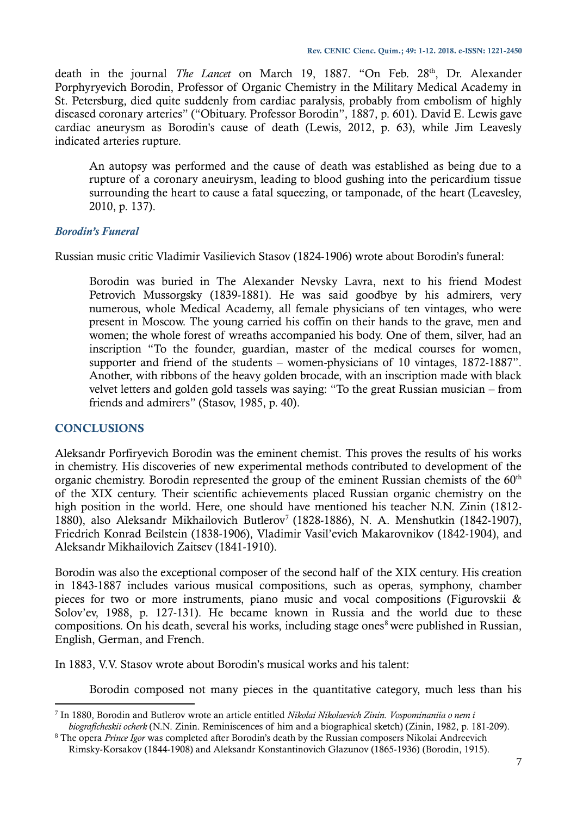death in the journal *The Lancet* on March 19, 1887. "On Feb. 28<sup>th</sup>, Dr. Alexander Porphyryevich Borodin, Professor of Organic Chemistry in the Military Medical Academy in St. Petersburg, died quite suddenly from cardiac paralysis, probably from embolism of highly diseased coronary arteries" ("Obituary. Professor Borodin", 1887, p. 601). David E. Lewis gave cardiac aneurysm as Borodin's cause of death (Lewis, 2012, p. 63), while Jim Leavesly indicated arteries rupture.

An autopsy was performed and the cause of death was established as being due to a rupture of a coronary aneuirysm, leading to blood gushing into the pericardium tissue surrounding the heart to cause a fatal squeezing, or tamponade, of the heart (Leavesley, 2010, p. 137).

## *Borodin's Funeral*

Russian music critic Vladimir Vasilievich Stasov (1824-1906) wrote about Borodin's funeral:

Borodin was buried in The Alexander Nevsky Lavra, next to his friend Modest Petrovich Mussorgsky (1839-1881). He was said goodbye by his admirers, very numerous, whole Medical Academy, all female physicians of ten vintages, who were present in Moscow. The young carried his coffin on their hands to the grave, men and women; the whole forest of wreaths accompanied his body. One of them, silver, had an inscription "To the founder, guardian, master of the medical courses for women, supporter and friend of the students – women-physicians of 10 vintages, 1872-1887". Another, with ribbons of the heavy golden brocade, with an inscription made with black velvet letters and golden gold tassels was saying: "To the great Russian musician – from friends and admirers" (Stasov, 1985, p. 40).

### **CONCLUSIONS**

1

Aleksandr Porfiryevich Borodin was the eminent chemist. This proves the results of his works in chemistry. His discoveries of new experimental methods contributed to development of the organic chemistry. Borodin represented the group of the eminent Russian chemists of the  $60<sup>th</sup>$ of the XIX century. Their scientific achievements placed Russian organic chemistry on the high position in the world. Here, one should have mentioned his teacher N.N. Zinin (1812- 1880), also Aleksandr Mikhailovich Butlerov<sup>7</sup> (1828-1886), N. A. Menshutkin (1842-1907), Friedrich Konrad Beilstein (1838-1906), Vladimir Vasil'evich Makarovnikov (1842-1904), and Aleksandr Mikhailovich Zaitsev (1841-1910).

Borodin was also the exceptional composer of the second half of the XIX century. His creation in 1843-1887 includes various musical compositions, such as operas, symphony, chamber pieces for two or more instruments, piano music and vocal compositions (Figurovskii & Solov'ev, 1988, p. 127-131). He became known in Russia and the world due to these compositions. On his death, several his works, including stage ones<sup>8</sup> were published in Russian, English, German, and French.

In 1883, V.V. Stasov wrote about Borodin's musical works and his talent:

Borodin composed not many pieces in the quantitative category, much less than his

<sup>7</sup> In 1880, Borodin and Butlerov wrote an article entitled *Nikolai Nikolaevich Zinin. Vospominaniia o nem i biograficheskii ocherk* (N.N. Zinin. Reminiscences of him and a biographical sketch) (Zinin, 1982, p. 181-209).

<sup>8</sup> The opera *Prince Igor* was completed after Borodin's death by the Russian composers Nikolai Andreevich Rimsky-Korsakov (1844-1908) and Aleksandr Konstantinovich Glazunov (1865-1936) (Borodin, 1915).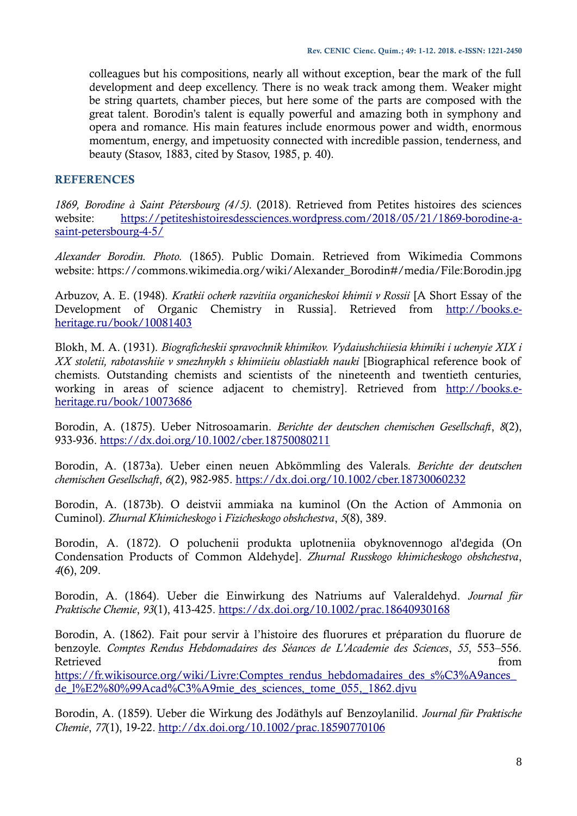colleagues but his compositions, nearly all without exception, bear the mark of the full development and deep excellency. There is no weak track among them. Weaker might be string quartets, chamber pieces, but here some of the parts are composed with the great talent. Borodin's talent is equally powerful and amazing both in symphony and opera and romance. His main features include enormous power and width, enormous momentum, energy, and impetuosity connected with incredible passion, tenderness, and beauty (Stasov, 1883, cited by Stasov, 1985, p. 40).

## **REFERENCES**

*1869, Borodine à Saint Pétersbourg (4/5)*. (2018). Retrieved from Petites histoires des sciences website: [https://petiteshistoiresdessciences.wordpress.com/2018/05/21/1869-borodine-a](https://petiteshistoiresdessciences.wordpress.com/2018/05/21/1869-borodine-a-saint-petersbourg-4-5/)[saint-petersbourg-4-5/](https://petiteshistoiresdessciences.wordpress.com/2018/05/21/1869-borodine-a-saint-petersbourg-4-5/)

*Alexander Borodin. Photo.* (1865). Public Domain. Retrieved from Wikimedia Commons website: https://commons.wikimedia.org/wiki/Alexander\_Borodin#/media/File:Borodin.jpg

Arbuzov, A. E. (1948). *Kratkii ocherk razvitiia organicheskoi khimii v Rossii* [A Short Essay of the Development of Organic Chemistry in Russia]. Retrieved from [http://books.e](http://books.e-heritage.ru/book/10081403)[heritage.ru/book/10081403](http://books.e-heritage.ru/book/10081403)

Blokh, M. A. (1931). *Biograficheskii spravochnik khimikov. Vydaiushchiiesia khimiki i uchenyie XIX i XX stoletii, rabotavshiie v smezhnykh s khimiieiu oblastiakh nauki* [Biographical reference book of chemists. Outstanding chemists and scientists of the nineteenth and twentieth centuries, working in areas of science adjacent to chemistry]. Retrieved from [http://books.e](http://books.e-heritage.ru/book/10073686)[heritage.ru/book/10073686](http://books.e-heritage.ru/book/10073686)

Borodin, A. (1875). Ueber Nitrosoamarin. *Berichte der deutschen chemischen Gesellschaft*, *8*(2), 933-936.<https://dx.doi.org/10.1002/cber.18750080211>

Borodin, A. (1873a). Ueber einen neuen Abkömmling des Valerals. *Berichte der deutschen chemischen Gesellschaft*, *6*(2), 982-985.<https://dx.doi.org/10.1002/cber.18730060232>

Borodin, A. (1873b). O deistvii ammiaka na kuminol (On the Action of Ammonia on Cuminol). *Zhurnal Khimicheskogo* i *Fizicheskogo obshchestva*, *5*(8), 389.

Borodin, A. (1872). O poluchenii produkta uplotneniia obyknovennogo al'degida (On Condensation Products of Common Aldehyde]. *Zhurnal Russkogo khimicheskogo obshchestva*, *4*(6), 209.

Borodin, A. (1864). Ueber die Einwirkung des Natriums auf Valeraldehyd. *Journal für Praktische Chemie*, *93*(1), 413-425.<https://dx.doi.org/10.1002/prac.18640930168>

Borodin, A. (1862). Fait pour servir à l'histoire des fluorures et préparation du fluorure de benzoyle. *Comptes Rendus Hebdomadaires des Séances de L'Academie des Sciences*, *55*, 553–556. Retrieved from the state of the state of the state of the state of the state of the state of the state of the state of the state of the state of the state of the state of the state of the state of the state of the state of

https://fr.wikisource.org/wiki/Livre:Comptes\_rendus\_hebdomadaires\_des\_s%C3%A9ances de  $1\%E2\%80\%99$ Acad%C3%A9mie des sciences, tome 055, 1862.djvu

Borodin, A. (1859). Ueber die Wirkung des Jodäthyls auf Benzoylanilid. *Journal für Praktische Chemie*, *77*(1), 19-22.<http://dx.doi.org/10.1002/prac.18590770106>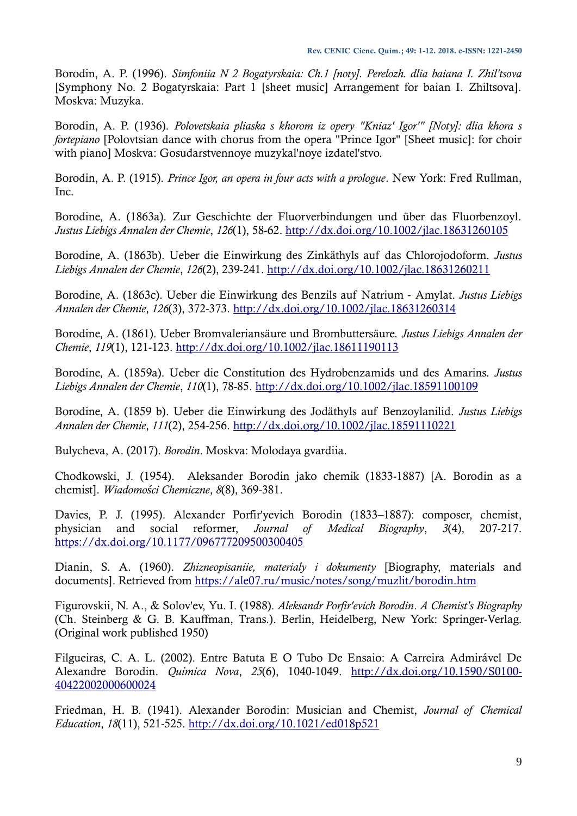Borodin, A. P. (1996). *Simfoniia N 2 Bogatyrskaia: Ch.1 [noty]. Perelozh. dlia baiana I. Zhil'tsova* [Symphony No. 2 Bogatyrskaia: Part 1 [sheet music] Arrangement for baian I. Zhiltsova]. Moskva: Muzyka.

Borodin, A. P. (1936). *Polovetskaia pliaska s khorom iz opery "Kniaz' Igor'" [Noty]: dlia khora s fortepiano* [Polovtsian dance with chorus from the opera "Prince Igor" [Sheet music]: for choir with piano] Moskva: Gosudarstvennoye muzykal'noye izdatel'stvo.

Borodin, A. P. (1915). *Prince Igor, an opera in four acts with a prologue*. New York: Fred Rullman, Inc.

Borodine, A. (1863a). Zur Geschichte der Fluorverbindungen und über das Fluorbenzoyl. *Justus Liebigs Annalen der Chemie*, *126*(1), 58-62.<http://dx.doi.org/10.1002/jlac.18631260105>

Borodine, A. (1863b). Ueber die Einwirkung des Zinkäthyls auf das Chlorojodoform. *Justus Liebigs Annalen der Chemie*, *126*(2), 239-241.<http://dx.doi.org/10.1002/jlac.18631260211>

Borodine, A. (1863c). Ueber die Einwirkung des Benzils auf Natrium ‐ Amylat. *Justus Liebigs Annalen der Chemie*, *126*(3), 372-373.<http://dx.doi.org/10.1002/jlac.18631260314>

Borodine, A. (1861). Ueber Bromvaleriansäure und Brombuttersäure. *Justus Liebigs Annalen der Chemie*, *119*(1), 121-123.<http://dx.doi.org/10.1002/jlac.18611190113>

Borodine, A. (1859a). Ueber die Constitution des Hydrobenzamids und des Amarins. *Justus Liebigs Annalen der Chemie*, *110*(1), 78-85.<http://dx.doi.org/10.1002/jlac.18591100109>

Borodine, A. (1859 b). Ueber die Einwirkung des Jodäthyls auf Benzoylanilid. *Justus Liebigs Annalen der Chemie*, *111*(2), 254-256.<http://dx.doi.org/10.1002/jlac.18591110221>

Bulycheva, A. (2017). *Borodin*. Moskva: Molodaya gvardiia.

Chodkowski, J. (1954). Aleksander Borodin jako chemik (1833-1887) [A. Borodin as a chemist]. *Wiadomości Chemiczne*, *8*(8), 369-381.

Davies, P. J. (1995). Alexander Porfir'yevich Borodin (1833–1887): composer, chemist, physician and social reformer, *Journal of Medical Biography*, *3*(4), 207-217. <https://dx.doi.org/10.1177/096777209500300405>

Dianin, S. A. (1960). *Zhizneopisaniie, materialy i dokumenty* [Biography, materials and documents]. Retrieved from<https://ale07.ru/music/notes/song/muzlit/borodin.htm>

Figurovskii, N. A., & Solov'ev, Yu. I. (1988). *Aleksandr Porfir'evich Borodin*. *A Chemist's Biography*  (Ch. Steinberg & G. B. Kauffman, Trans.). Berlin, Heidelberg, New York: Springer-Verlag. (Original work published 1950)

Filgueiras, C. A. L. (2002). Entre Batuta E O Tubo De Ensaio: A Carreira Admirável De Alexandre Borodin. *Química Nova*, *25*(6), 1040-1049. [http://dx.doi.org/10.1590/S0100-](http://dx.doi.org/10.1590/S0100-40422002000600024) [40422002000600024](http://dx.doi.org/10.1590/S0100-40422002000600024)

Friedman, H. B. (1941). Alexander Borodin: Musician and Chemist, *Journal of Chemical Education*, *18*(11), 521-525.<http://dx.doi.org/10.1021/ed018p521>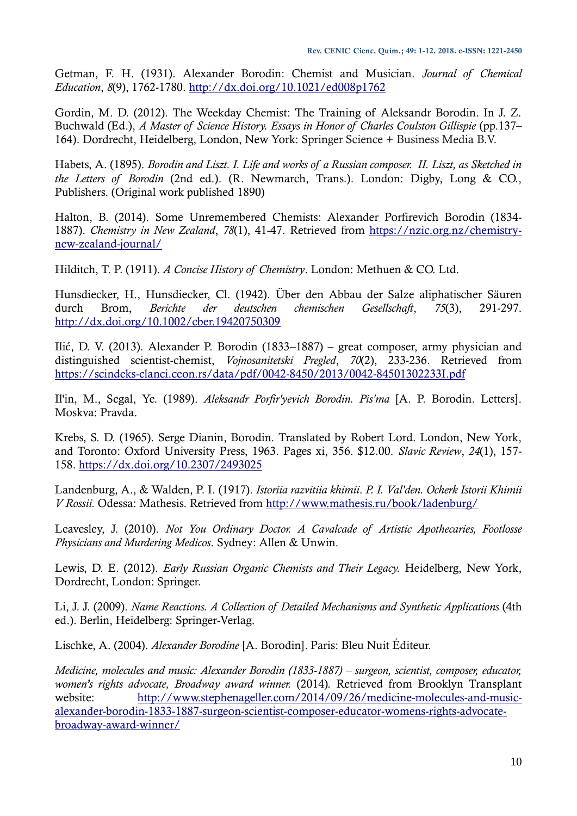Getman, F. H. (1931). Alexander Borodin: Chemist and Musician. *Journal of Chemical Education*, *8*(9), 1762-1780.<http://dx.doi.org/10.1021/ed008p1762>

Gordin, M. D. (2012). The Weekday Chemist: The Training of Aleksandr Borodin. In J. Z. Buchwald (Ed.), *A Master of Science History. Essays in Honor of Charles Coulston Gillispie* (pp.137– 164). Dordrecht, Heidelberg, London, New York: Springer Science + Business Media B.V.

Habets, A. (1895). *Borodin and Liszt. I. Life and works of a Russian composer. II. Liszt, as Sketched in the Letters of Borodin* (2nd ed.). (R. Newmarch, Trans.). London: Digby, Long & CO., Publishers. (Original work published 1890)

Halton, B. (2014). Some Unremembered Chemists: Alexander Porfirevich Borodin (1834- 1887). *Chemistry in New Zealand*, *78*(1), 41-47. Retrieved from [https://nzic.org.nz/chemistry](https://nzic.org.nz/chemistry-new-zealand-journal/)[new-zealand-journal/](https://nzic.org.nz/chemistry-new-zealand-journal/)

Hilditch, T. P. (1911). *A Concise History of Chemistry*. London: Methuen & CO. Ltd.

Hunsdiecker, H., Hunsdiecker, Cl. (1942). Über den Abbau der Salze aliphatischer Säuren durch Brom, *Berichte der deutschen chemischen Gesellschaft*, *75*(3), 291-297. <http://dx.doi.org/10.1002/cber.19420750309>

Ilić, D. V. (2013). Alexander P. Borodin (1833–1887) – great composer, army physician and distinguished scientist-chemist, *Vojnosanitetski Pregled*, *70*(2), 233-236. Retrieved from <https://scindeks-clanci.ceon.rs/data/pdf/0042-8450/2013/0042-84501302233I.pdf>

Il'in, M., Segal, Ye. (1989). *Aleksandr Porfir'yevich Borodin. Pis'ma* [A. P. Borodin. Letters]. Moskva: Pravda.

Krebs, S. D. (1965). Serge Dianin, Borodin. Translated by Robert Lord. London, New York, and Toronto: Oxford University Press, 1963. Pages xi, 356. \$12.00. *Slavic Review*, *24*(1), 157- 158.<https://dx.doi.org/10.2307/2493025>

Landenburg, A., & Walden, P. I. (1917). *Istoriia razvitiia khimii*. *P. I. Val'den. Ocherk Istorii Khimii V Rossii.* Odessa: Mathesis. Retrieved from<http://www.mathesis.ru/book/ladenburg/>

Leavesley, J. (2010). *Not You Ordinary Doctor. A Cavalcade of Artistic Apothecaries, Footlosse Physicians and Murdering Medicos*. Sydney: Allen & Unwin.

Lewis, D. E. (2012). *Early Russian Organic Chemists and Their Legacy.* Heidelberg, New York, Dordrecht, London: Springer.

Li, J. J. (2009). *Name Reactions. A Collection of Detailed Mechanisms and Synthetic Applications* (4th ed.). Berlin, Heidelberg: Springer-Verlag.

Lischke, A. (2004). *Alexander Borodine* [A. Borodin]. Paris: Bleu Nuit Éditeur.

*Medicine, molecules and music: Alexander Borodin (1833-1887) – surgeon, scientist, composer, educator, women's rights advocate, Broadway award winner.* (2014)*.* Retrieved from Brooklyn Transplant website: [http://www.stephenageller.com/2014/09/26/medicine-molecules-and-music](http://www.stephenageller.com/2014/09/26/medicine-molecules-and-music-alexander-borodin-1833-1887-surgeon-scientist-composer-educator-womens-rights-advocate-broadway-award-winner/)[alexander-borodin-1833-1887-surgeon-scientist-composer-educator-womens-rights-advocate](http://www.stephenageller.com/2014/09/26/medicine-molecules-and-music-alexander-borodin-1833-1887-surgeon-scientist-composer-educator-womens-rights-advocate-broadway-award-winner/)[broadway-award-winner/](http://www.stephenageller.com/2014/09/26/medicine-molecules-and-music-alexander-borodin-1833-1887-surgeon-scientist-composer-educator-womens-rights-advocate-broadway-award-winner/)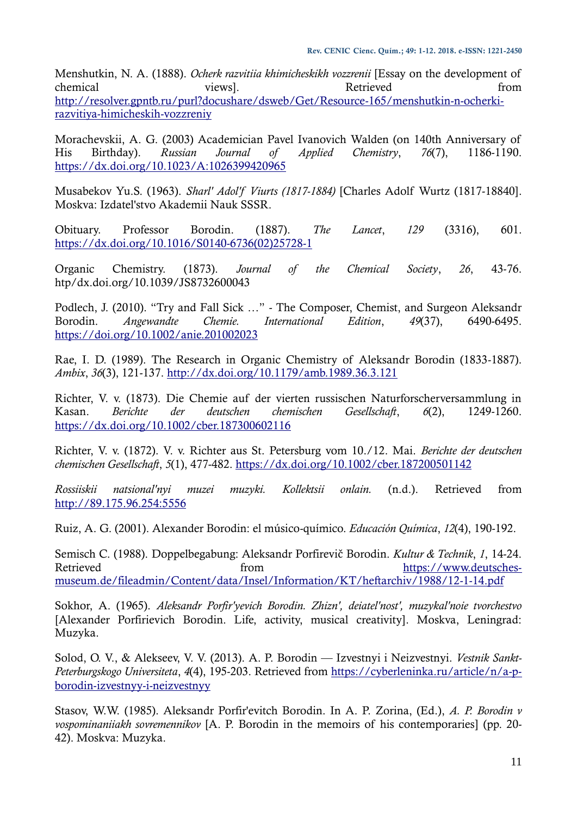Menshutkin, N. A. (1888). *Ocherk razvitiia khimicheskikh vozzrenii* [Essay on the development of chemical views]. When the views a views a chemical from the views and  $\mathbb{R}$  etrieved from the state of  $\mathbb{R}$ [http://resolver.gpntb.ru/purl?docushare/dsweb/Get/Resource-165/menshutkin-n-ocherki](http://resolver.gpntb.ru/purl?docushare/dsweb/Get/Resource-165/menshutkin-n-ocherki-razvitiya-himicheskih-vozzreniy)[razvitiya-himicheskih-vozzreniy](http://resolver.gpntb.ru/purl?docushare/dsweb/Get/Resource-165/menshutkin-n-ocherki-razvitiya-himicheskih-vozzreniy)

Morachevskii, A. G. (2003) Academician Pavel Ivanovich Walden (on 140th Anniversary of His Birthday). *Russian Journal of Applied Chemistry*, *76*(7), 1186-1190. <https://dx.doi.org/10.1023/A:1026399420965>

Musabekov Yu.S. (1963). *Sharl' Adol'f Viurts (1817-1884)* [Charles Adolf Wurtz (1817-18840]. Moskva: Izdatel'stvo Akademii Nauk SSSR.

Obituary. Professor Borodin. (1887). *The Lancet*, *129* (3316), 601. [https://dx.doi.org/10.1016/S0140-6736\(02\)25728-1](https://dx.doi.org/10.1016/S0140-6736(02)25728-1)

Organic Chemistry. (1873). *Journal of the Chemical Society*, *26*, 43-76. htp/dx.doi.org/10.1039/JS8732600043

Podlech, J. (2010). "Try and Fall Sick …" - The Composer, Chemist, and Surgeon Aleksandr Borodin. *Angewandte Chemie. International Edition*, *49*(37), 6490-6495. <https://doi.org/10.1002/anie.201002023>

Rae, I. D. (1989). The Research in Organic Chemistry of Aleksandr Borodin (1833-1887). *Ambix*, *36*(3), 121-137.<http://dx.doi.org/10.1179/amb.1989.36.3.121>

Richter, V. v. (1873). Die Chemie auf der vierten russischen Naturforscherversammlung in Kasan. *Berichte der deutschen chemischen Gesellschaft*, *6*(2), 1249-1260. <https://dx.doi.org/10.1002/cber.187300602116>

Richter, V. v. (1872). V. v. Richter aus St. Petersburg vom 10./12. Mai. *Berichte der deutschen chemischen Gesellschaft*, *5*(1), 477-482.<https://dx.doi.org/10.1002/cber.187200501142>

*Rossiiskii natsional'nyi muzei muzyki. Kollektsii onlain.* (n.d.). Retrieved from [http://89.175.96.254:5556](http://89.175.96.254:5556/)

Ruiz, A. G. (2001). Alexander Borodin: el músico-químico. *Educación Química*, *12*(4), 190-192.

Semisch C. (1988). Doppelbegabung: Aleksandr Porfirevič Borodin. *Kultur & Technik*, *1*, 14-24. Retrieved from from [https://www.deutsches](https://www.deutsches-museum.de/fileadmin/Content/data/Insel/Information/KT/heftarchiv/1988/12-1-14.pdf)[museum.de/fileadmin/Content/data/Insel/Information/KT/heftarchiv/1988/12-1-14.pdf](https://www.deutsches-museum.de/fileadmin/Content/data/Insel/Information/KT/heftarchiv/1988/12-1-14.pdf)

Sokhor, A. (1965). *Aleksandr Porfir'yevich Borodin. Zhizn', deiatel'nost', muzykal'noie tvorchestvo* [Alexander Porfirievich Borodin. Life, activity, musical creativity]. Moskva, Leningrad: Muzyka.

Solod, O. V., & Alekseev, V. V. (2013). A. P. Borodin — Izvestnyi i Neizvestnyi. *Vestnik Sankt-Peterburgskogo Universiteta*, *4*(4), 195-203. Retrieved from [https://cyberleninka.ru/article/n/a-p](https://cyberleninka.ru/article/n/a-p-borodin-izvestnyy-i-neizvestnyy)[borodin-izvestnyy-i-neizvestnyy](https://cyberleninka.ru/article/n/a-p-borodin-izvestnyy-i-neizvestnyy)

Stasov, W.W. (1985). Aleksandr Porfir'evitch Borodin. In A. P. Zorina, (Ed.), *A. P. Borodin v vospominaniiakh sovremennikov* [A. P. Borodin in the memoirs of his contemporaries] (pp. 20- 42). Moskva: Muzyka.